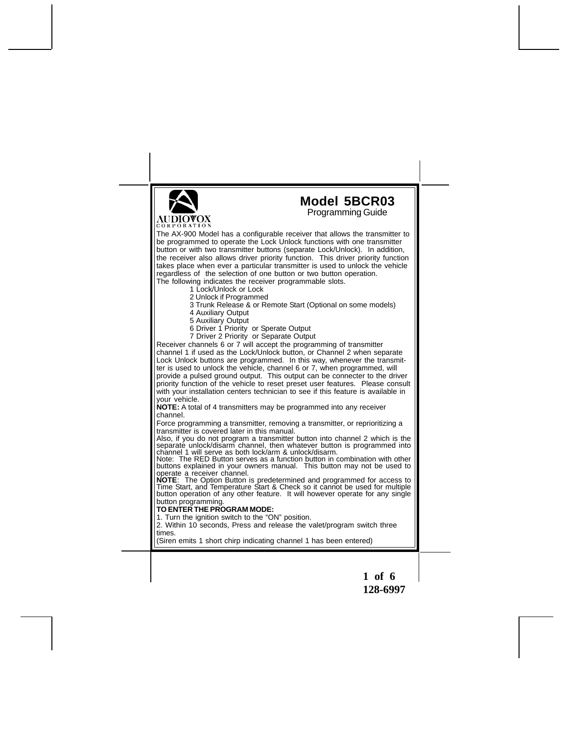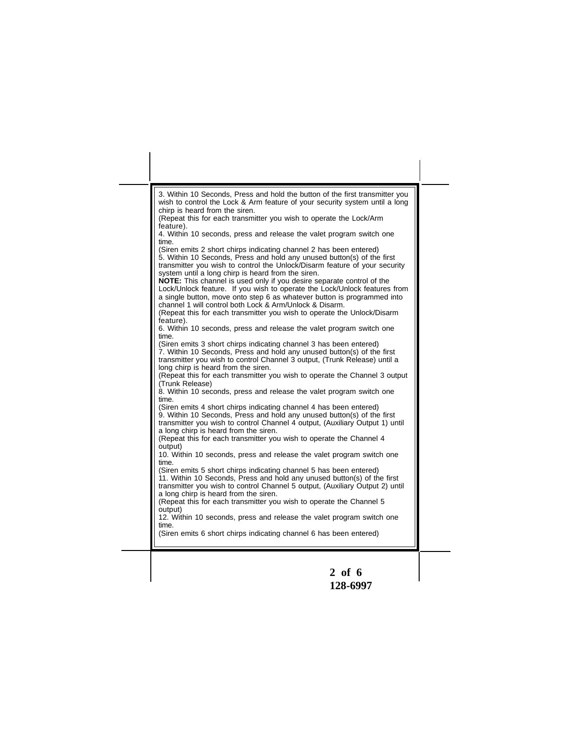|                                                         | 3. Within 10 Seconds, Press and hold the button of the first transmitter you<br>wish to control the Lock & Arm feature of your security system until a long                                                                   |
|---------------------------------------------------------|-------------------------------------------------------------------------------------------------------------------------------------------------------------------------------------------------------------------------------|
| chirp is heard from the siren.<br>feature).             | (Repeat this for each transmitter you wish to operate the Lock/Arm                                                                                                                                                            |
| time.                                                   | 4. Within 10 seconds, press and release the valet program switch one                                                                                                                                                          |
|                                                         | (Siren emits 2 short chirps indicating channel 2 has been entered)<br>5. Within 10 Seconds, Press and hold any unused button(s) of the first<br>transmitter you wish to control the Unlock/Disarm feature of your security    |
| system until a long chirp is heard from the siren.      | <b>NOTE:</b> This channel is used only if you desire separate control of the<br>Lock/Unlock feature. If you wish to operate the Lock/Unlock features from                                                                     |
| channel 1 will control both Lock & Arm/Unlock & Disarm. | a single button, move onto step 6 as whatever button is programmed into<br>(Repeat this for each transmitter you wish to operate the Unlock/Disarm                                                                            |
| feature).<br>time.                                      | 6. Within 10 seconds, press and release the valet program switch one                                                                                                                                                          |
| long chirp is heard from the siren.                     | (Siren emits 3 short chirps indicating channel 3 has been entered)<br>7. Within 10 Seconds, Press and hold any unused button(s) of the first<br>transmitter you wish to control Channel 3 output, (Trunk Release) until a     |
| (Trunk Release)                                         | (Repeat this for each transmitter you wish to operate the Channel 3 output                                                                                                                                                    |
| time.                                                   | 8. Within 10 seconds, press and release the valet program switch one                                                                                                                                                          |
| a long chirp is heard from the siren.                   | (Siren emits 4 short chirps indicating channel 4 has been entered)<br>9. Within 10 Seconds, Press and hold any unused button(s) of the first<br>transmitter you wish to control Channel 4 output, (Auxiliary Output 1) until  |
| output)                                                 | (Repeat this for each transmitter you wish to operate the Channel 4                                                                                                                                                           |
| time.                                                   | 10. Within 10 seconds, press and release the valet program switch one                                                                                                                                                         |
| a long chirp is heard from the siren.                   | (Siren emits 5 short chirps indicating channel 5 has been entered)<br>11. Within 10 Seconds, Press and hold any unused button(s) of the first<br>transmitter you wish to control Channel 5 output, (Auxiliary Output 2) until |
| output)                                                 | (Repeat this for each transmitter you wish to operate the Channel 5                                                                                                                                                           |
| time.                                                   | 12. Within 10 seconds, press and release the valet program switch one<br>(Siren emits 6 short chirps indicating channel 6 has been entered)                                                                                   |

**128-6997**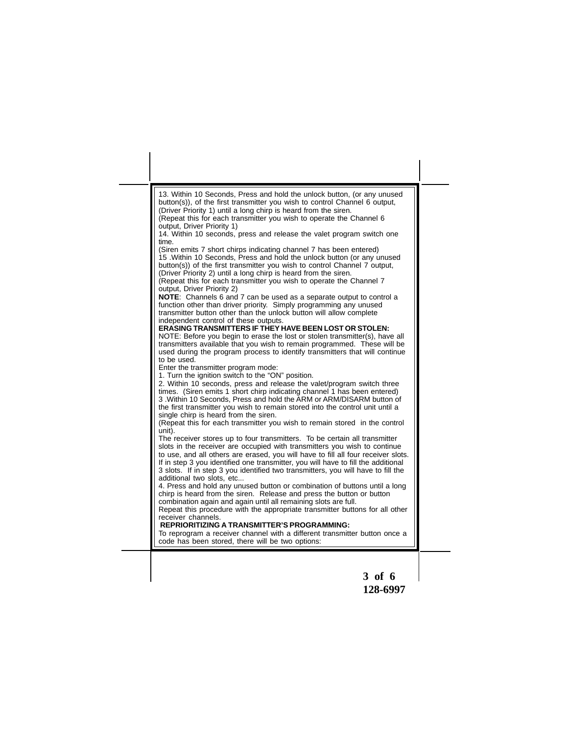| 13. Within 10 Seconds, Press and hold the unlock button, (or any unused<br>button(s)), of the first transmitter you wish to control Channel 6 output,<br>(Driver Priority 1) until a long chirp is heard from the siren.<br>(Repeat this for each transmitter you wish to operate the Channel 6<br>output, Driver Priority 1)<br>14. Within 10 seconds, press and release the valet program switch one<br>time.<br>(Siren emits 7 short chirps indicating channel 7 has been entered)<br>15. Within 10 Seconds, Press and hold the unlock button (or any unused<br>button(s)) of the first transmitter you wish to control Channel 7 output,<br>(Driver Priority 2) until a long chirp is heard from the siren.<br>(Repeat this for each transmitter you wish to operate the Channel 7<br>output, Driver Priority 2)<br><b>NOTE:</b> Channels 6 and 7 can be used as a separate output to control a<br>function other than driver priority. Simply programming any unused<br>transmitter button other than the unlock button will allow complete<br>independent control of these outputs.<br><b>ERASING TRANSMITTERS IF THEY HAVE BEEN LOST OR STOLEN:</b><br>NOTE: Before you begin to erase the lost or stolen transmitter(s), have all<br>transmitters available that you wish to remain programmed. These will be<br>used during the program process to identify transmitters that will continue<br>to be used.<br>Enter the transmitter program mode:<br>1. Turn the ignition switch to the "ON" position.<br>2. Within 10 seconds, press and release the valet/program switch three<br>times. (Siren emits 1 short chirp indicating channel 1 has been entered)<br>3. Within 10 Seconds, Press and hold the ARM or ARM/DISARM button of<br>the first transmitter you wish to remain stored into the control unit until a<br>single chirp is heard from the siren.<br>(Repeat this for each transmitter you wish to remain stored in the control<br>unit).<br>The receiver stores up to four transmitters. To be certain all transmitter<br>slots in the receiver are occupied with transmitters you wish to continue<br>to use, and all others are erased, you will have to fill all four receiver slots.<br>If in step 3 you identified one transmitter, you will have to fill the additional<br>3 slots. If in step 3 you identified two transmitters, you will have to fill the |
|------------------------------------------------------------------------------------------------------------------------------------------------------------------------------------------------------------------------------------------------------------------------------------------------------------------------------------------------------------------------------------------------------------------------------------------------------------------------------------------------------------------------------------------------------------------------------------------------------------------------------------------------------------------------------------------------------------------------------------------------------------------------------------------------------------------------------------------------------------------------------------------------------------------------------------------------------------------------------------------------------------------------------------------------------------------------------------------------------------------------------------------------------------------------------------------------------------------------------------------------------------------------------------------------------------------------------------------------------------------------------------------------------------------------------------------------------------------------------------------------------------------------------------------------------------------------------------------------------------------------------------------------------------------------------------------------------------------------------------------------------------------------------------------------------------------------------------------------------------------------------------------------------------------------------------------------------------------------------------------------------------------------------------------------------------------------------------------------------------------------------------------------------------------------------------------------------------------------------------------------------------------------------------------------------------------------------------------------------------------------------------------|
| additional two slots, etc<br>4. Press and hold any unused button or combination of buttons until a long<br>chirp is heard from the siren. Release and press the button or button<br>combination again and again until all remaining slots are full.<br>Repeat this procedure with the appropriate transmitter buttons for all other<br>receiver channels.<br><b>REPRIORITIZING A TRANSMITTER'S PROGRAMMING:</b><br>To reprogram a receiver channel with a different transmitter button once a<br>code has been stored, there will be two options:                                                                                                                                                                                                                                                                                                                                                                                                                                                                                                                                                                                                                                                                                                                                                                                                                                                                                                                                                                                                                                                                                                                                                                                                                                                                                                                                                                                                                                                                                                                                                                                                                                                                                                                                                                                                                                        |

**3 of 6 128-6997**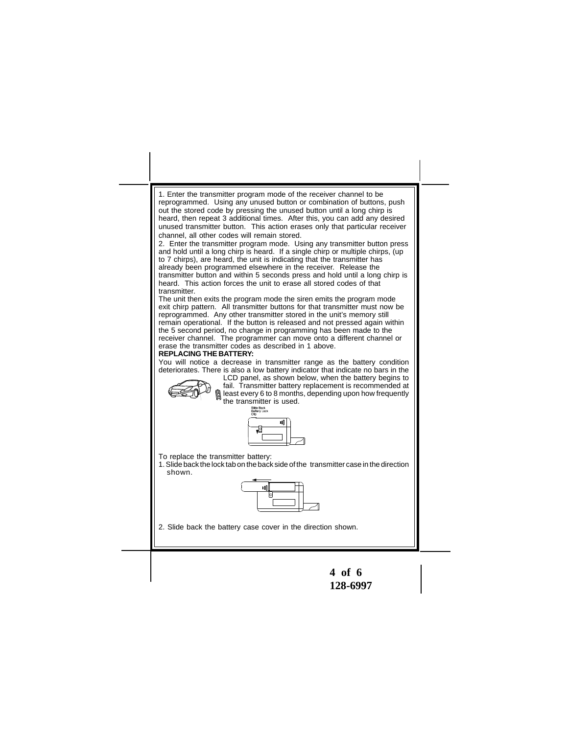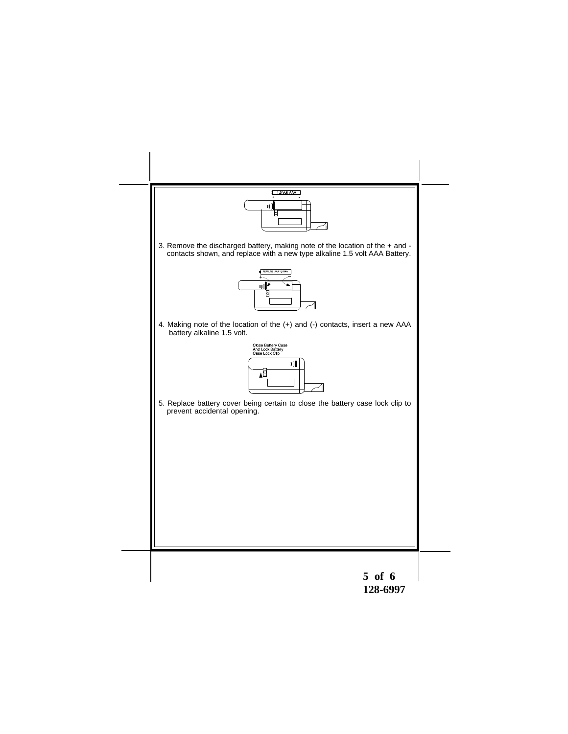